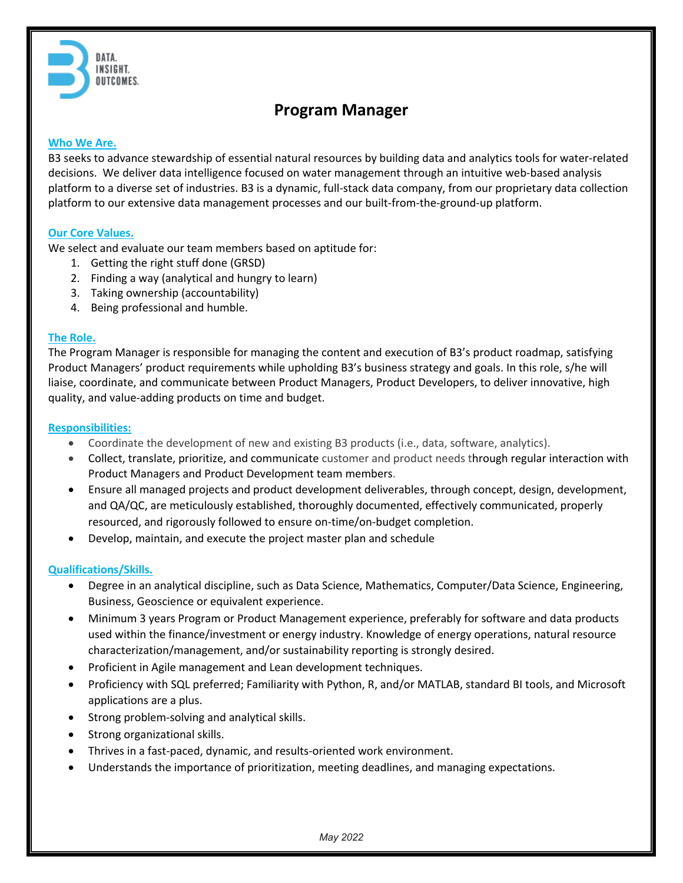

# **Program Manager**

### **Who We Are.**

B3 seeks to advance stewardship of essential natural resources by building data and analytics tools for water-related decisions. We deliver data intelligence focused on water management through an intuitive web-based analysis platform to a diverse set of industries. B3 is a dynamic, full-stack data company, from our proprietary data collection platform to our extensive data management processes and our built-from-the-ground-up platform.

#### **Our Core Values.**

We select and evaluate our team members based on aptitude for:

- 1. Getting the right stuff done (GRSD)
- 2. Finding a way (analytical and hungry to learn)
- 3. Taking ownership (accountability)
- 4. Being professional and humble.

#### **The Role.**

The Program Manager is responsible for managing the content and execution of B3's product roadmap, satisfying Product Managers' product requirements while upholding B3's business strategy and goals. In this role, s/he will liaise, coordinate, and communicate between Product Managers, Product Developers, to deliver innovative, high quality, and value-adding products on time and budget.

#### **Responsibilities:**

- Coordinate the development of new and existing B3 products (i.e., data, software, analytics).
- Collect, translate, prioritize, and communicate customer and product needs through regular interaction with Product Managers and Product Development team members.
- Ensure all managed projects and product development deliverables, through concept, design, development, and QA/QC, are meticulously established, thoroughly documented, effectively communicated, properly resourced, and rigorously followed to ensure on-time/on-budget completion.
- Develop, maintain, and execute the project master plan and schedule

## **Qualifications/Skills.**

- Degree in an analytical discipline, such as Data Science, Mathematics, Computer/Data Science, Engineering, Business, Geoscience or equivalent experience.
- Minimum 3 years Program or Product Management experience, preferably for software and data products used within the finance/investment or energy industry. Knowledge of energy operations, natural resource characterization/management, and/or sustainability reporting is strongly desired.
- Proficient in Agile management and Lean development techniques.
- Proficiency with SQL preferred; Familiarity with Python, R, and/or MATLAB, standard BI tools, and Microsoft applications are a plus.
- Strong problem-solving and analytical skills.
- Strong organizational skills.
- Thrives in a fast-paced, dynamic, and results-oriented work environment.
- Understands the importance of prioritization, meeting deadlines, and managing expectations.